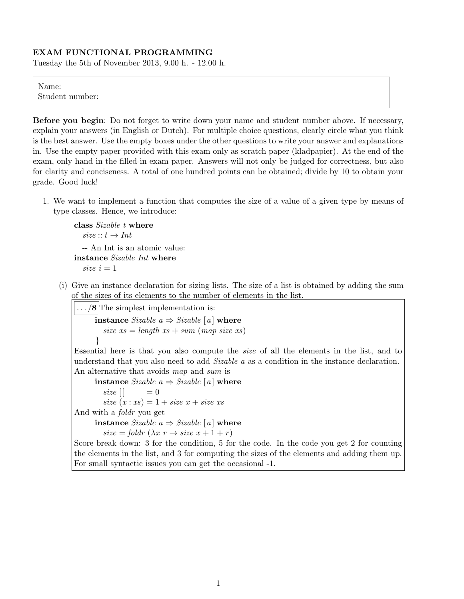## EXAM FUNCTIONAL PROGRAMMING

Tuesday the 5th of November 2013, 9.00 h. - 12.00 h.

## Name:

Student number:

Before you begin: Do not forget to write down your name and student number above. If necessary, explain your answers (in English or Dutch). For multiple choice questions, clearly circle what you think is the best answer. Use the empty boxes under the other questions to write your answer and explanations in. Use the empty paper provided with this exam only as scratch paper (kladpapier). At the end of the exam, only hand in the filled-in exam paper. Answers will not only be judged for correctness, but also for clarity and conciseness. A total of one hundred points can be obtained; divide by 10 to obtain your grade. Good luck!

1. We want to implement a function that computes the size of a value of a given type by means of type classes. Hence, we introduce:

```
class Sizable t where
  size :: t \rightarrow Int-- An Int is an atomic value:
instance Sizable Int where
  size i = 1
```
(i) Give an instance declaration for sizing lists. The size of a list is obtained by adding the sum of the sizes of its elements to the number of elements in the list.

 $\ldots$  /8 The simplest implementation is: instance Sizable  $a \Rightarrow$  Sizable [a] where size  $xs = length\ xs + sum\ (map\ size\ xs)$ }

Essential here is that you also compute the size of all the elements in the list, and to understand that you also need to add *Sizable a* as a condition in the instance declaration. An alternative that avoids map and sum is

instance Sizable  $a \Rightarrow$  Sizable  $[a]$  where size  $|$  = 0 size  $(x : xs) = 1 + size x + size xs$ And with a foldr you get instance Sizable  $a \Rightarrow$  Sizable [a] where  $size = folder (\lambda x r \rightarrow size x + 1 + r)$ 

Score break down: 3 for the condition, 5 for the code. In the code you get 2 for counting the elements in the list, and 3 for computing the sizes of the elements and adding them up. For small syntactic issues you can get the occasional -1.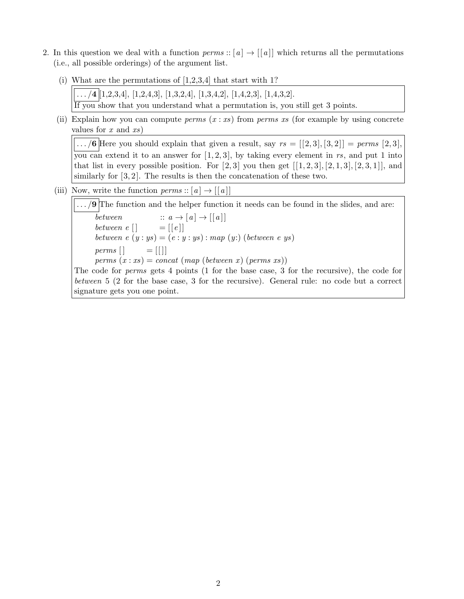- 2. In this question we deal with a function perms ::  $[a] \rightarrow [[a]]$  which returns all the permutations (i.e., all possible orderings) of the argument list.
	- (i) What are the permutations of  $[1,2,3,4]$  that start with 1?

 $\ldots$  /4  $[1,2,3,4]$ ,  $[1,2,4,3]$ ,  $[1,3,2,4]$ ,  $[1,3,4,2]$ ,  $[1,4,2,3]$ ,  $[1,4,3,2]$ . If you show that you understand what a permutation is, you still get 3 points.

(ii) Explain how you can compute *perms*  $(x : xs)$  from *perms xs* (for example by using concrete values for  $x$  and  $xs$ )

 $\overline{\ldots/6}$  Here you should explain that given a result, say  $rs = [[2,3],[3,2]] = \text{perms } [2,3],$ you can extend it to an answer for  $[1, 2, 3]$ , by taking every element in rs, and put 1 into that list in every possible position. For  $[2, 3]$  you then get  $[[1, 2, 3], [2, 1, 3], [2, 3, 1]]$ , and similarly for  $[3, 2]$ . The results is then the concatenation of these two.

(iii) Now, write the function  $perms :: [a] \rightarrow [[a]]$ 

 $\ldots$  /9 The function and the helper function it needs can be found in the slides, and are:  $\overline{between}$  ::  $a \rightarrow [a] \rightarrow [[a]]$ between  $e [ ] = [e] ]$ between  $e(y:ys) = (e: y:ys) : map (y:)(between eys)$ perms  $[$   $=$   $[$   $|$   $]$ perms  $(x:xs) = concat \ (map \ (between \ x) \ (perms \ xs))$ The code for perms gets 4 points (1 for the base case, 3 for the recursive), the code for between 5 (2 for the base case, 3 for the recursive). General rule: no code but a correct signature gets you one point.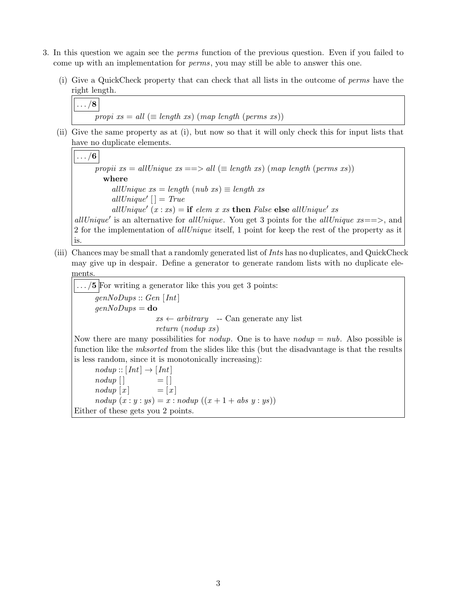- 3. In this question we again see the perms function of the previous question. Even if you failed to come up with an implementation for perms, you may still be able to answer this one.
	- (i) Give a QuickCheck property that can check that all lists in the outcome of perms have the right length.



(ii) Give the same property as at (i), but now so that it will only check this for input lists that have no duplicate elements.

 $\ldots/6$ propii  $xs = allUnique \; xs == > all \; (\equiv length \; xs) \; (map \; length \; (perms \; xs))$ where allUnique  $xs = length (nub xs) \equiv length xs$  $allUnique'$   $|$  = True allUnique'  $(x : xs) =$  if elem x xs then False else allUnique' xs allUnique' is an alternative for allUnique. You get 3 points for the allUnique  $xs=\Longrightarrow$ , and 2 for the implementation of allUnique itself, 1 point for keep the rest of the property as it is.

(iii) Chances may be small that a randomly generated list of Ints has no duplicates, and QuickCheck may give up in despair. Define a generator to generate random lists with no duplicate elements.

 $\ldots/5$  For writing a generator like this you get 3 points:  $genNoDups:: Gen[Int]$  $genNoDups =$ **do**  $xs \leftarrow arbitrary \leftarrow Can generate any list$ return (nodup xs)

Now there are many possibilities for *nodup*. One is to have *nodup*  $= nu\ell$ . Also possible is function like the *mksorted* from the slides like this (but the disadvantage is that the results is less random, since it is monotonically increasing):

 $nodup::[Int] \rightarrow [Int]$  $nodup$   $|$   $=$   $|$  $nodup [x] = [x]$  $nodup (x:y:ys) = x: nodup ((x+1+abs y:ys))$ Either of these gets you 2 points.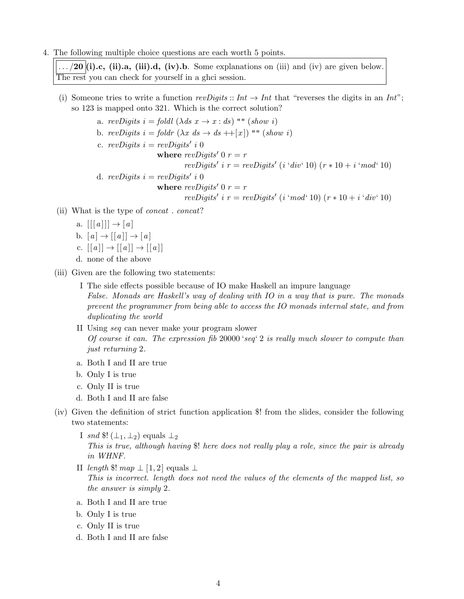4. The following multiple choice questions are each worth 5 points.

 $\ldots$  /20 (i).c, (ii).a, (iii).d, (iv).b. Some explanations on (iii) and (iv) are given below. The rest you can check for yourself in a ghci session.

(i) Someone tries to write a function revDigits :: Int  $\rightarrow$  Int that "reverses the digits in an Int"; so 123 is mapped onto 321. Which is the correct solution?

a. revDigits  $i =$  foldl  $(\lambda ds \ x \rightarrow x : ds)$  "" (show i) b. revDigits  $i = foldr$   $(\lambda x \ ds \rightarrow ds + |x|)$  ""  $(show i)$ c. revDigits  $i = revDigits'$  i 0 where  $revDiqits'$  0  $r = r$ revDigits' i  $r = revDigits'$  (i 'div' 10)  $(r * 10 + i 'mod' 10)$ d. revDigits  $i = revDigits'$  i 0 where  $revDiqits'$  0  $r = r$ revDigits' i  $r = revDigits'$  (i 'mod' 10)  $(r * 10 + i$  'div' 10)

- (ii) What is the type of concat . concat?
	- a.  $[[[a]]] \rightarrow [a]$ b.  $[a] \rightarrow [[a]] \rightarrow [a]$ c.  $[[a]] \rightarrow [[a]] \rightarrow [[a]]$ d. none of the above
- (iii) Given are the following two statements:
	- I The side effects possible because of IO make Haskell an impure language False. Monads are Haskell's way of dealing with IO in a way that is pure. The monads prevent the programmer from being able to access the IO monads internal state, and from duplicating the world
	- II Using seq can never make your program slower Of course it can. The expression fib 20000 'seq' 2 is really much slower to compute than just returning 2.
	- a. Both I and II are true
	- b. Only I is true
	- c. Only II is true
	- d. Both I and II are false
- (iv) Given the definition of strict function application \$! from the slides, consider the following two statements:
	- I snd  $\mathcal{L}(\perp_1, \perp_2)$  equals  $\perp_2$ This is true, although having \$! here does not really play a role, since the pair is already in WHNF.
	- II length \$! map  $\perp$  [1, 2] equals  $\perp$

This is incorrect. length does not need the values of the elements of the mapped list, so the answer is simply 2.

- a. Both I and II are true
- b. Only I is true
- c. Only II is true
- d. Both I and II are false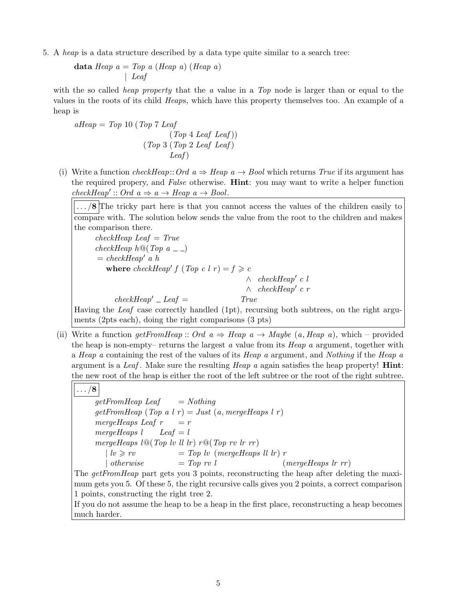5. A heap is a data structure described by a data type quite similar to a search tree:

```
data Heap a = Top\ a\ (Heap\ a)\ (Heap\ a)| Leaf
```
with the so called *heap property* that the  $\alpha$  value in a Top node is larger than or equal to the values in the roots of its child Heaps, which have this property themselves too. An example of a heap is

 $aHeap = Top 10 (Top 7 Leaf)$  $(Top 4 \text{Leaf} \text{Leaf}))$ (Top 3 (Top 2 Leaf Leaf ) Leaf )

(i) Write a function *checkHeap*:: Ord  $a \Rightarrow$  Heap  $a \rightarrow$  Bool which returns True if its argument has the required propery, and False otherwise. Hint: you may want to write a helper function  $checkHeap': Ord\ a \Rightarrow a \rightarrow Heap\ a \rightarrow Bool.$ 

.../8 The tricky part here is that you cannot access the values of the children easily to compare with. The solution below sends the value from the root to the children and makes the comparison there.

 $checkHeap$  Leaf = True checkHeap  $h \mathbb{Q}(Top \ a \_$  $= \text{checkHeap}'$  a h where  $checkHeap' f (Top c l r) = f \geq c$  $\wedge$  checkHeap' c l  $\wedge$  checkHeap' c r  $checkHeap' \_Leaf =$  True Having the Leaf case correctly handled (1pt), recursing both subtrees, on the right arguments (2pts each), doing the right comparisons (3 pts)

(ii) Write a function getFromHeap :: Ord  $a \Rightarrow$  Heap  $a \rightarrow$  Maybe (a, Heap a), which – provided the heap is non-empty– returns the largest a value from its  $Heap$  a argument, together with a Heap a containing the rest of the values of its Heap a argument, and Nothing if the Heap a argument is a Leaf. Make sure the resulting Heap  $a$  again satisfies the heap property! **Hint**: the new root of the heap is either the root of the left subtree or the root of the right subtree.

 $\ldots/8$  $getFromHeap$  Leaf  $= Nothing$  $getFromHeap(Top a l r) = Just (a, mergeHeaps l r)$ mergeHeaps Leaf  $r = r$ mergeHeaps  $l$  Leaf =  $l$ mergeHeaps  $l@(Top\;lv\;ll\;lr) r@(Top\;rv\;lr\;rr)$ | lv > rv = Top lv (mergeHeaps ll lr ) r | otherwise  $= Top \, rv \, l \qquad (mergeHeaps \, lr \, rr)$ The *getFromHeap* part gets you 3 points, reconstructing the heap after deleting the maxi-

mum gets you 5. Of these 5, the right recursive calls gives you 2 points, a correct comparison 1 points, constructing the right tree 2.

If you do not assume the heap to be a heap in the first place, reconstructing a heap becomes much harder.